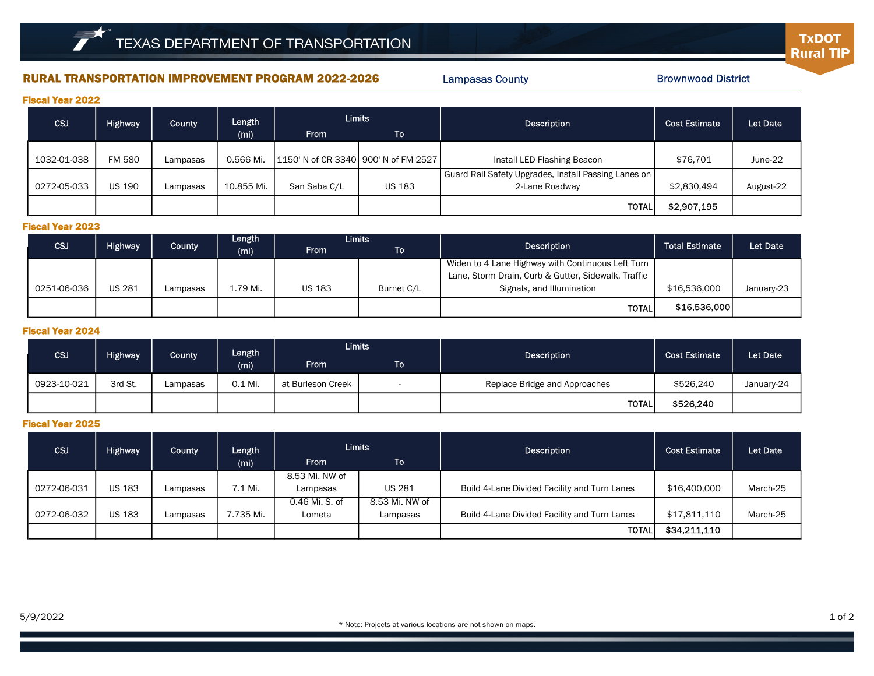## RURAL TRANSPORTATION IMPROVEMENT PROGRAM 2022-2026 Lampasas County Entertainment Reserves and Brownwood District

Lampasas County

**TxDOT Rural TIP** 

|  | <b>Fiscal Year 2022</b> |
|--|-------------------------|
|  |                         |

| CSJ<br><b>Highway</b> |               | County   | Length     | <b>Limits</b>                          |               | Description                                          | <b>Cost Estimate</b> | Let Date  |
|-----------------------|---------------|----------|------------|----------------------------------------|---------------|------------------------------------------------------|----------------------|-----------|
|                       |               |          | (mi)       | <b>From</b>                            | \To`          |                                                      |                      |           |
|                       |               |          |            |                                        |               |                                                      |                      |           |
| 1032-01-038           | <b>FM 580</b> | Lampasas | 0.566 Mi.  | 1150' N of CR 3340   900' N of FM 2527 |               | Install LED Flashing Beacon                          | \$76.701             | June-22   |
|                       |               |          |            |                                        |               | Guard Rail Safety Upgrades, Install Passing Lanes on |                      |           |
| 0272-05-033           | <b>US 190</b> | Lampasas | 10.855 Mi. | San Saba C/L                           | <b>US 183</b> | 2-Lane Roadway                                       | \$2,830,494          | August-22 |
|                       |               |          |            |                                        |               | <b>TOTAL</b>                                         | \$2,907,195          |           |

## Fiscal Year 2023

|             |                                                        |          | Length   | <b>Limits</b> |                       |                                                     |              |            |
|-------------|--------------------------------------------------------|----------|----------|---------------|-----------------------|-----------------------------------------------------|--------------|------------|
| <b>CSJ</b>  | <b>Highway</b><br><b>County</b><br><b>From</b><br>(mi) |          | To '     | Description   | <b>Total Estimate</b> | Let Date                                            |              |            |
|             |                                                        |          |          |               |                       | Widen to 4 Lane Highway with Continuous Left Turn   |              |            |
|             |                                                        |          |          |               |                       | Lane, Storm Drain, Curb & Gutter, Sidewalk, Traffic |              |            |
| 0251-06-036 | <b>US 281</b>                                          | Lampasas | 1.79 Mi. | <b>US 183</b> | Burnet C/L            | Signals, and Illumination                           | \$16,536,000 | January-23 |
|             |                                                        |          |          |               |                       | <b>TOTAL</b>                                        | \$16,536,000 |            |

### Fiscal Year 2024

| CSJ         | Length                                              | <b>Limits</b> |         | <b>Description</b> | <b>Cost Estimate</b>     | Let Date                      |           |            |
|-------------|-----------------------------------------------------|---------------|---------|--------------------|--------------------------|-------------------------------|-----------|------------|
|             | Highway <sup>1</sup><br>County<br>(m <sub>i</sub> ) | <b>From</b>   | To l    |                    |                          |                               |           |            |
| 0923-10-021 | 3rd St.                                             | Lampasas      | 0.1 Mi. | at Burleson Creek  | $\overline{\phantom{0}}$ | Replace Bridge and Approaches | \$526,240 | January-24 |
|             |                                                     |               |         |                    |                          | <b>TOTAL</b>                  | \$526,240 |            |

## Fiscal Year 2025

| CSJ         | <b>Highway</b> | County   | Length<br>(mi) | <b>Limits</b><br><b>From</b> | To             | Description                                  | <b>Cost Estimate</b> | Let Date |
|-------------|----------------|----------|----------------|------------------------------|----------------|----------------------------------------------|----------------------|----------|
|             |                |          |                | 8.53 Mi. NW of               |                |                                              |                      |          |
| 0272-06-031 | <b>US 183</b>  | Lampasas | 7.1 Mi.        | Lampasas                     | <b>US 281</b>  | Build 4-Lane Divided Facility and Turn Lanes | \$16,400,000         | March-25 |
|             |                |          |                | 0.46 Mi. S. of               | 8.53 Mi. NW of |                                              |                      |          |
| 0272-06-032 | <b>US 183</b>  | Lampasas | 7.735 Mi.      | Lometa                       | Lampasas       | Build 4-Lane Divided Facility and Turn Lanes | \$17,811,110         | March-25 |
|             |                |          |                |                              |                | <b>TOTAL</b>                                 | \$34,211,110         |          |